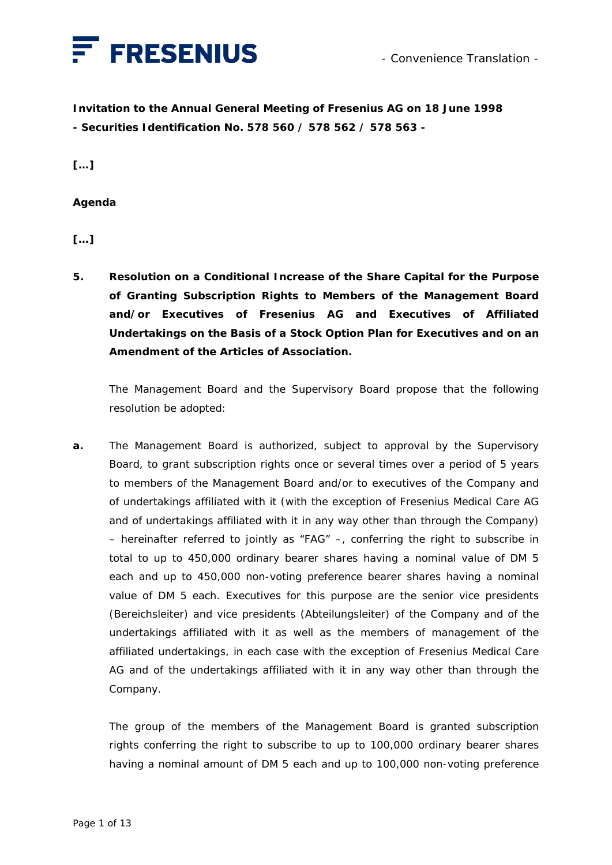

**Invitation to the Annual General Meeting of Fresenius AG on 18 June 1998 - Securities Identification No. 578 560 / 578 562 / 578 563 -** 

**[…]** 

## **Agenda**

**[…]** 

**5. Resolution on a Conditional Increase of the Share Capital for the Purpose of Granting Subscription Rights to Members of the Management Board and/or Executives of Fresenius AG and Executives of Affiliated Undertakings on the Basis of a Stock Option Plan for Executives and on an Amendment of the Articles of Association.** 

 The Management Board and the Supervisory Board propose that the following resolution be adopted:

**a.** The Management Board is authorized, subject to approval by the Supervisory Board, to grant subscription rights once or several times over a period of 5 years to members of the Management Board and/or to executives of the Company and of undertakings affiliated with it (with the exception of Fresenius Medical Care AG and of undertakings affiliated with it in any way other than through the Company) – hereinafter referred to jointly as "FAG" –, conferring the right to subscribe in total to up to 450,000 ordinary bearer shares having a nominal value of DM 5 each and up to 450,000 non-voting preference bearer shares having a nominal value of DM 5 each. Executives for this purpose are the senior vice presidents (*Bereichsleiter*) and vice presidents (*Abteilungsleiter*) of the Company and of the undertakings affiliated with it as well as the members of management of the affiliated undertakings, in each case with the exception of Fresenius Medical Care AG and of the undertakings affiliated with it in any way other than through the Company.

 The group of the members of the Management Board is granted subscription rights conferring the right to subscribe to up to 100,000 ordinary bearer shares having a nominal amount of DM 5 each and up to 100,000 non-voting preference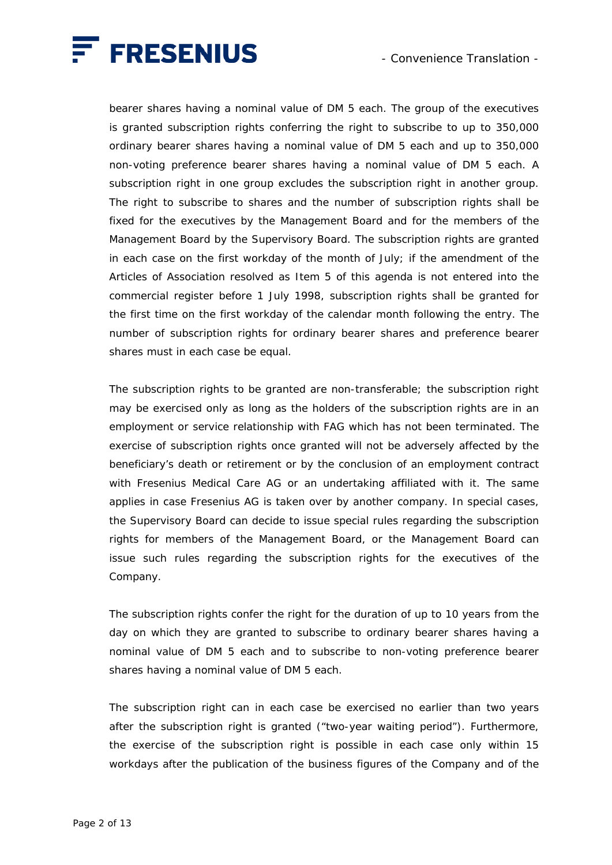

bearer shares having a nominal value of DM 5 each. The group of the executives is granted subscription rights conferring the right to subscribe to up to 350,000 ordinary bearer shares having a nominal value of DM 5 each and up to 350,000 non-voting preference bearer shares having a nominal value of DM 5 each. A subscription right in one group excludes the subscription right in another group. The right to subscribe to shares and the number of subscription rights shall be fixed for the executives by the Management Board and for the members of the Management Board by the Supervisory Board. The subscription rights are granted in each case on the first workday of the month of July; if the amendment of the Articles of Association resolved as Item 5 of this agenda is not entered into the commercial register before 1 July 1998, subscription rights shall be granted for the first time on the first workday of the calendar month following the entry. The number of subscription rights for ordinary bearer shares and preference bearer shares must in each case be equal.

 The subscription rights to be granted are non-transferable; the subscription right may be exercised only as long as the holders of the subscription rights are in an employment or service relationship with FAG which has not been terminated. The exercise of subscription rights once granted will not be adversely affected by the beneficiary's death or retirement or by the conclusion of an employment contract with Fresenius Medical Care AG or an undertaking affiliated with it. The same applies in case Fresenius AG is taken over by another company. In special cases, the Supervisory Board can decide to issue special rules regarding the subscription rights for members of the Management Board, or the Management Board can issue such rules regarding the subscription rights for the executives of the Company.

 The subscription rights confer the right for the duration of up to 10 years from the day on which they are granted to subscribe to ordinary bearer shares having a nominal value of DM 5 each and to subscribe to non-voting preference bearer shares having a nominal value of DM 5 each.

 The subscription right can in each case be exercised no earlier than two years after the subscription right is granted ("two-year waiting period"). Furthermore, the exercise of the subscription right is possible in each case only within 15 workdays after the publication of the business figures of the Company and of the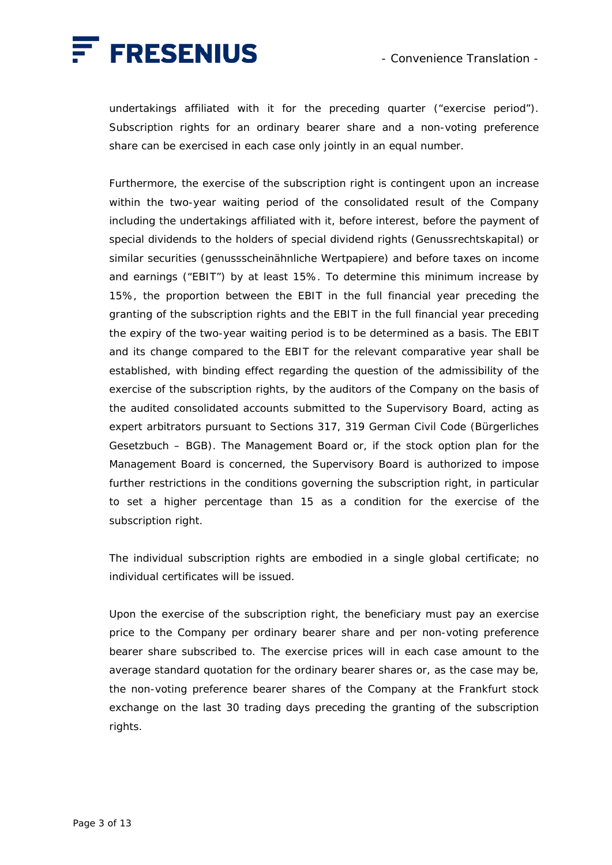

undertakings affiliated with it for the preceding quarter ("exercise period"). Subscription rights for an ordinary bearer share and a non-voting preference share can be exercised in each case only jointly in an equal number.

 Furthermore, the exercise of the subscription right is contingent upon an increase within the two-year waiting period of the consolidated result of the Company including the undertakings affiliated with it, before interest, before the payment of special dividends to the holders of special dividend rights (*Genussrechtskapital*) or similar securities (*genussscheinähnliche Wertpapiere*) and before taxes on income and earnings ("EBIT") by at least 15%. To determine this minimum increase by 15%, the proportion between the EBIT in the full financial year preceding the granting of the subscription rights and the EBIT in the full financial year preceding the expiry of the two-year waiting period is to be determined as a basis. The EBIT and its change compared to the EBIT for the relevant comparative year shall be established, with binding effect regarding the question of the admissibility of the exercise of the subscription rights, by the auditors of the Company on the basis of the audited consolidated accounts submitted to the Supervisory Board, acting as expert arbitrators pursuant to Sections 317, 319 German Civil Code (*Bürgerliches Gesetzbuch – BGB*). The Management Board or, if the stock option plan for the Management Board is concerned, the Supervisory Board is authorized to impose further restrictions in the conditions governing the subscription right, in particular to set a higher percentage than 15 as a condition for the exercise of the subscription right.

 The individual subscription rights are embodied in a single global certificate; no individual certificates will be issued.

 Upon the exercise of the subscription right, the beneficiary must pay an exercise price to the Company per ordinary bearer share and per non-voting preference bearer share subscribed to. The exercise prices will in each case amount to the average standard quotation for the ordinary bearer shares or, as the case may be, the non-voting preference bearer shares of the Company at the Frankfurt stock exchange on the last 30 trading days preceding the granting of the subscription rights.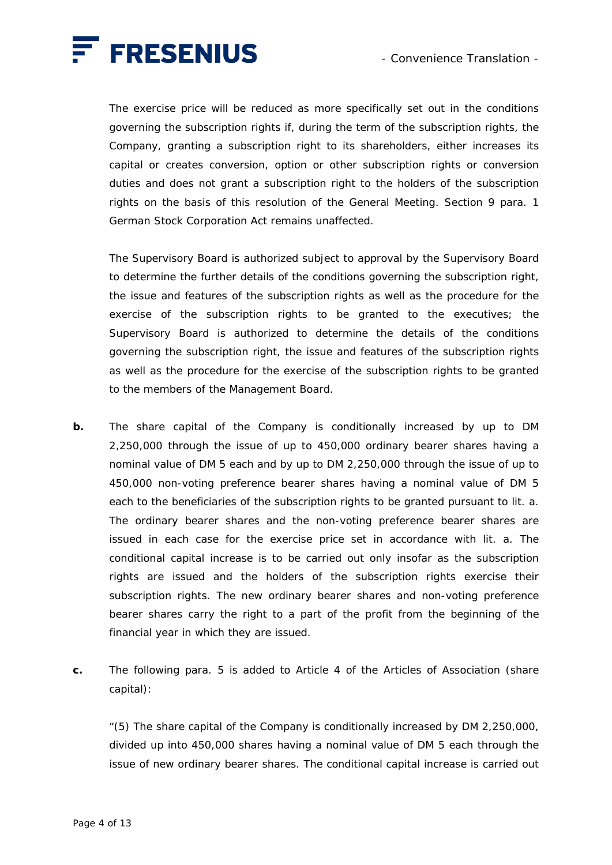

 The exercise price will be reduced as more specifically set out in the conditions governing the subscription rights if, during the term of the subscription rights, the Company, granting a subscription right to its shareholders, either increases its capital or creates conversion, option or other subscription rights or conversion duties and does not grant a subscription right to the holders of the subscription rights on the basis of this resolution of the General Meeting. Section 9 para. 1 German Stock Corporation Act remains unaffected.

 The Supervisory Board is authorized subject to approval by the Supervisory Board to determine the further details of the conditions governing the subscription right, the issue and features of the subscription rights as well as the procedure for the exercise of the subscription rights to be granted to the executives; the Supervisory Board is authorized to determine the details of the conditions governing the subscription right, the issue and features of the subscription rights as well as the procedure for the exercise of the subscription rights to be granted to the members of the Management Board.

- **b.** The share capital of the Company is conditionally increased by up to DM 2,250,000 through the issue of up to 450,000 ordinary bearer shares having a nominal value of DM 5 each and by up to DM 2,250,000 through the issue of up to 450,000 non-voting preference bearer shares having a nominal value of DM 5 each to the beneficiaries of the subscription rights to be granted pursuant to lit. a. The ordinary bearer shares and the non-voting preference bearer shares are issued in each case for the exercise price set in accordance with lit. a. The conditional capital increase is to be carried out only insofar as the subscription rights are issued and the holders of the subscription rights exercise their subscription rights. The new ordinary bearer shares and non-voting preference bearer shares carry the right to a part of the profit from the beginning of the financial year in which they are issued.
- **c.** The following para. 5 is added to Article 4 of the Articles of Association (share capital):

 "(5) The share capital of the Company is conditionally increased by DM 2,250,000, divided up into 450,000 shares having a nominal value of DM 5 each through the issue of new ordinary bearer shares. The conditional capital increase is carried out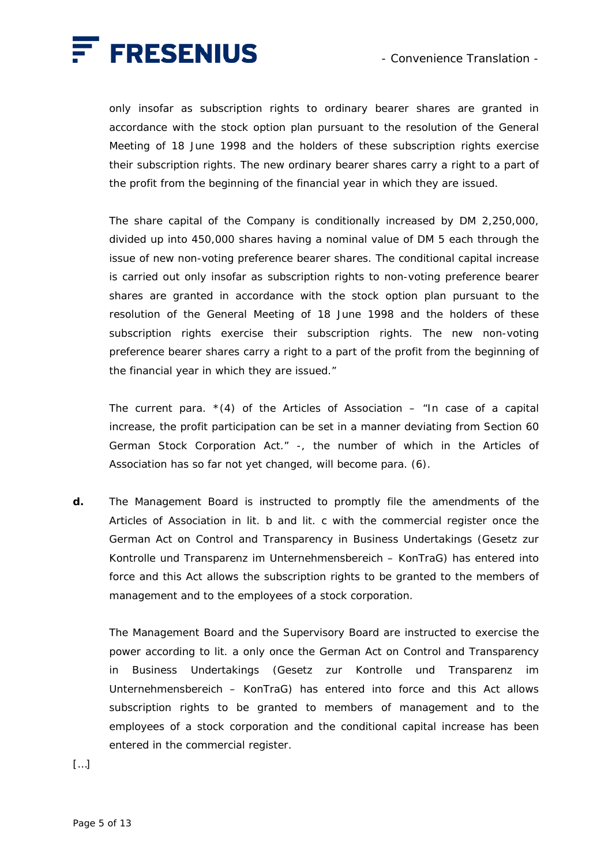

only insofar as subscription rights to ordinary bearer shares are granted in accordance with the stock option plan pursuant to the resolution of the General Meeting of 18 June 1998 and the holders of these subscription rights exercise their subscription rights. The new ordinary bearer shares carry a right to a part of the profit from the beginning of the financial year in which they are issued.

 The share capital of the Company is conditionally increased by DM 2,250,000, divided up into 450,000 shares having a nominal value of DM 5 each through the issue of new non-voting preference bearer shares. The conditional capital increase is carried out only insofar as subscription rights to non-voting preference bearer shares are granted in accordance with the stock option plan pursuant to the resolution of the General Meeting of 18 June 1998 and the holders of these subscription rights exercise their subscription rights. The new non-voting preference bearer shares carry a right to a part of the profit from the beginning of the financial year in which they are issued."

The current para.  $*(4)$  of the Articles of Association – "In case of a capital increase, the profit participation can be set in a manner deviating from Section 60 German Stock Corporation Act." -, the number of which in the Articles of Association has so far not yet changed, will become para. (6).

**d.** The Management Board is instructed to promptly file the amendments of the Articles of Association in lit. b and lit. c with the commercial register once the German Act on Control and Transparency in Business Undertakings (*Gesetz zur Kontrolle und Transparenz im Unternehmensbereich* – *KonTraG*) has entered into force and this Act allows the subscription rights to be granted to the members of management and to the employees of a stock corporation.

 The Management Board and the Supervisory Board are instructed to exercise the power according to lit. a only once the German Act on Control and Transparency in Business Undertakings (*Gesetz zur Kontrolle und Transparenz im Unternehmensbereich* – *KonTraG*) has entered into force and this Act allows subscription rights to be granted to members of management and to the employees of a stock corporation and the conditional capital increase has been entered in the commercial register.

[…]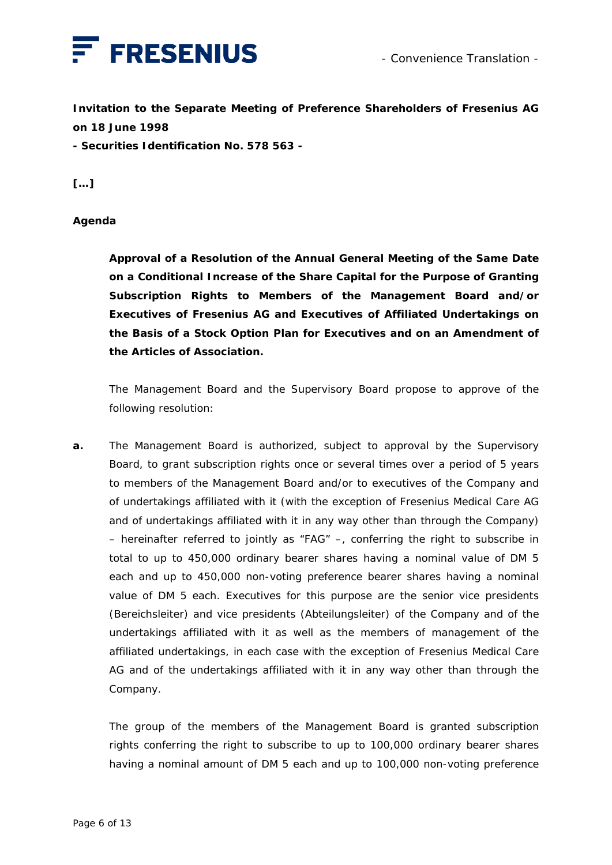

**Invitation to the Separate Meeting of Preference Shareholders of Fresenius AG on 18 June 1998** 

**- Securities Identification No. 578 563 -** 

**[…]** 

## **Agenda**

 **Approval of a Resolution of the Annual General Meeting of the Same Date on a Conditional Increase of the Share Capital for the Purpose of Granting Subscription Rights to Members of the Management Board and/or Executives of Fresenius AG and Executives of Affiliated Undertakings on the Basis of a Stock Option Plan for Executives and on an Amendment of the Articles of Association.** 

 The Management Board and the Supervisory Board propose to approve of the following resolution:

**a.** The Management Board is authorized, subject to approval by the Supervisory Board, to grant subscription rights once or several times over a period of 5 years to members of the Management Board and/or to executives of the Company and of undertakings affiliated with it (with the exception of Fresenius Medical Care AG and of undertakings affiliated with it in any way other than through the Company) – hereinafter referred to jointly as "FAG" –, conferring the right to subscribe in total to up to 450,000 ordinary bearer shares having a nominal value of DM 5 each and up to 450,000 non-voting preference bearer shares having a nominal value of DM 5 each. Executives for this purpose are the senior vice presidents (*Bereichsleiter*) and vice presidents (*Abteilungsleiter*) of the Company and of the undertakings affiliated with it as well as the members of management of the affiliated undertakings, in each case with the exception of Fresenius Medical Care AG and of the undertakings affiliated with it in any way other than through the Company.

 The group of the members of the Management Board is granted subscription rights conferring the right to subscribe to up to 100,000 ordinary bearer shares having a nominal amount of DM 5 each and up to 100,000 non-voting preference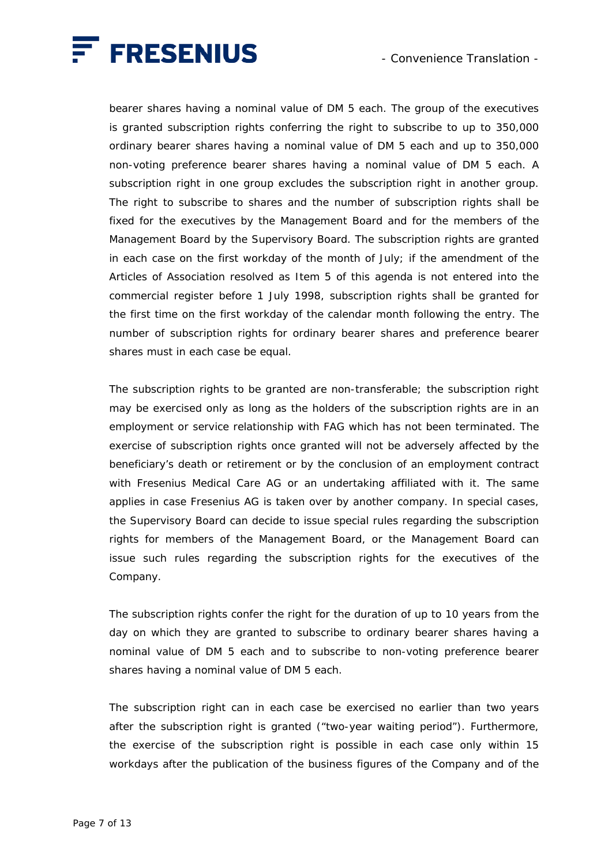

bearer shares having a nominal value of DM 5 each. The group of the executives is granted subscription rights conferring the right to subscribe to up to 350,000 ordinary bearer shares having a nominal value of DM 5 each and up to 350,000 non-voting preference bearer shares having a nominal value of DM 5 each. A subscription right in one group excludes the subscription right in another group. The right to subscribe to shares and the number of subscription rights shall be fixed for the executives by the Management Board and for the members of the Management Board by the Supervisory Board. The subscription rights are granted in each case on the first workday of the month of July; if the amendment of the Articles of Association resolved as Item 5 of this agenda is not entered into the commercial register before 1 July 1998, subscription rights shall be granted for the first time on the first workday of the calendar month following the entry. The number of subscription rights for ordinary bearer shares and preference bearer shares must in each case be equal.

 The subscription rights to be granted are non-transferable; the subscription right may be exercised only as long as the holders of the subscription rights are in an employment or service relationship with FAG which has not been terminated. The exercise of subscription rights once granted will not be adversely affected by the beneficiary's death or retirement or by the conclusion of an employment contract with Fresenius Medical Care AG or an undertaking affiliated with it. The same applies in case Fresenius AG is taken over by another company. In special cases, the Supervisory Board can decide to issue special rules regarding the subscription rights for members of the Management Board, or the Management Board can issue such rules regarding the subscription rights for the executives of the Company.

 The subscription rights confer the right for the duration of up to 10 years from the day on which they are granted to subscribe to ordinary bearer shares having a nominal value of DM 5 each and to subscribe to non-voting preference bearer shares having a nominal value of DM 5 each.

 The subscription right can in each case be exercised no earlier than two years after the subscription right is granted ("two-year waiting period"). Furthermore, the exercise of the subscription right is possible in each case only within 15 workdays after the publication of the business figures of the Company and of the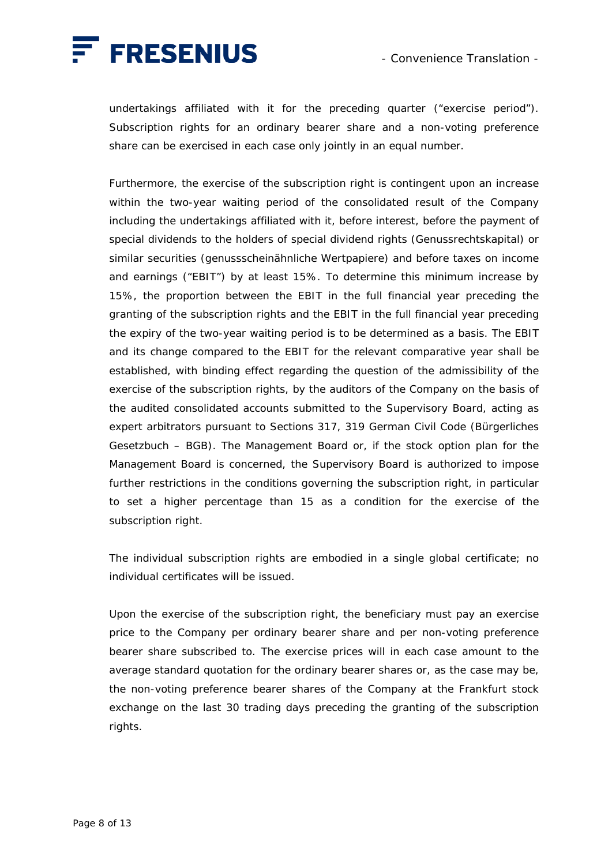

undertakings affiliated with it for the preceding quarter ("exercise period"). Subscription rights for an ordinary bearer share and a non-voting preference share can be exercised in each case only jointly in an equal number.

 Furthermore, the exercise of the subscription right is contingent upon an increase within the two-year waiting period of the consolidated result of the Company including the undertakings affiliated with it, before interest, before the payment of special dividends to the holders of special dividend rights (*Genussrechtskapital*) or similar securities (*genussscheinähnliche Wertpapiere*) and before taxes on income and earnings ("EBIT") by at least 15%. To determine this minimum increase by 15%, the proportion between the EBIT in the full financial year preceding the granting of the subscription rights and the EBIT in the full financial year preceding the expiry of the two-year waiting period is to be determined as a basis. The EBIT and its change compared to the EBIT for the relevant comparative year shall be established, with binding effect regarding the question of the admissibility of the exercise of the subscription rights, by the auditors of the Company on the basis of the audited consolidated accounts submitted to the Supervisory Board, acting as expert arbitrators pursuant to Sections 317, 319 German Civil Code (*Bürgerliches Gesetzbuch – BGB*). The Management Board or, if the stock option plan for the Management Board is concerned, the Supervisory Board is authorized to impose further restrictions in the conditions governing the subscription right, in particular to set a higher percentage than 15 as a condition for the exercise of the subscription right.

 The individual subscription rights are embodied in a single global certificate; no individual certificates will be issued.

 Upon the exercise of the subscription right, the beneficiary must pay an exercise price to the Company per ordinary bearer share and per non-voting preference bearer share subscribed to. The exercise prices will in each case amount to the average standard quotation for the ordinary bearer shares or, as the case may be, the non-voting preference bearer shares of the Company at the Frankfurt stock exchange on the last 30 trading days preceding the granting of the subscription rights.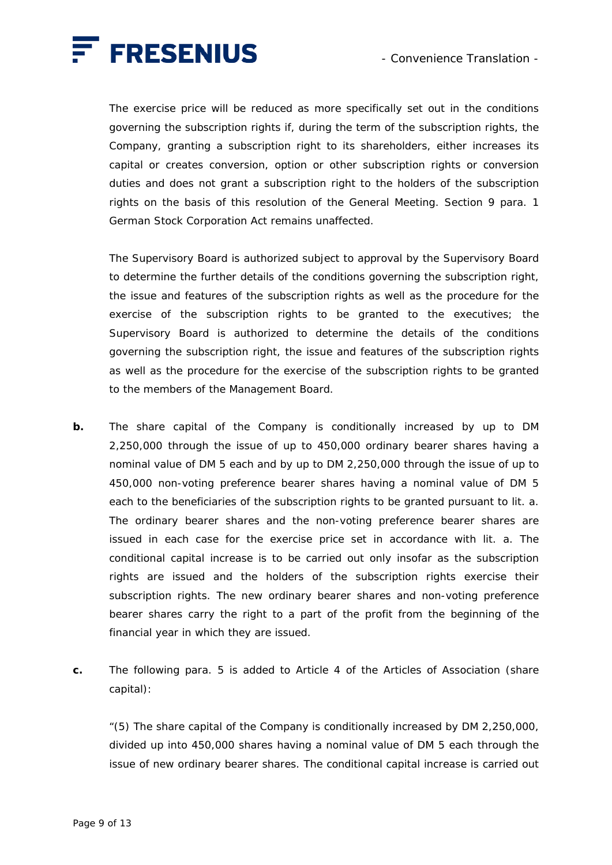

 The exercise price will be reduced as more specifically set out in the conditions governing the subscription rights if, during the term of the subscription rights, the Company, granting a subscription right to its shareholders, either increases its capital or creates conversion, option or other subscription rights or conversion duties and does not grant a subscription right to the holders of the subscription rights on the basis of this resolution of the General Meeting. Section 9 para. 1 German Stock Corporation Act remains unaffected.

 The Supervisory Board is authorized subject to approval by the Supervisory Board to determine the further details of the conditions governing the subscription right, the issue and features of the subscription rights as well as the procedure for the exercise of the subscription rights to be granted to the executives; the Supervisory Board is authorized to determine the details of the conditions governing the subscription right, the issue and features of the subscription rights as well as the procedure for the exercise of the subscription rights to be granted to the members of the Management Board.

- **b.** The share capital of the Company is conditionally increased by up to DM 2,250,000 through the issue of up to 450,000 ordinary bearer shares having a nominal value of DM 5 each and by up to DM 2,250,000 through the issue of up to 450,000 non-voting preference bearer shares having a nominal value of DM 5 each to the beneficiaries of the subscription rights to be granted pursuant to lit. a. The ordinary bearer shares and the non-voting preference bearer shares are issued in each case for the exercise price set in accordance with lit. a. The conditional capital increase is to be carried out only insofar as the subscription rights are issued and the holders of the subscription rights exercise their subscription rights. The new ordinary bearer shares and non-voting preference bearer shares carry the right to a part of the profit from the beginning of the financial year in which they are issued.
- **c.** The following para. 5 is added to Article 4 of the Articles of Association (share capital):

 "(5) The share capital of the Company is conditionally increased by DM 2,250,000, divided up into 450,000 shares having a nominal value of DM 5 each through the issue of new ordinary bearer shares. The conditional capital increase is carried out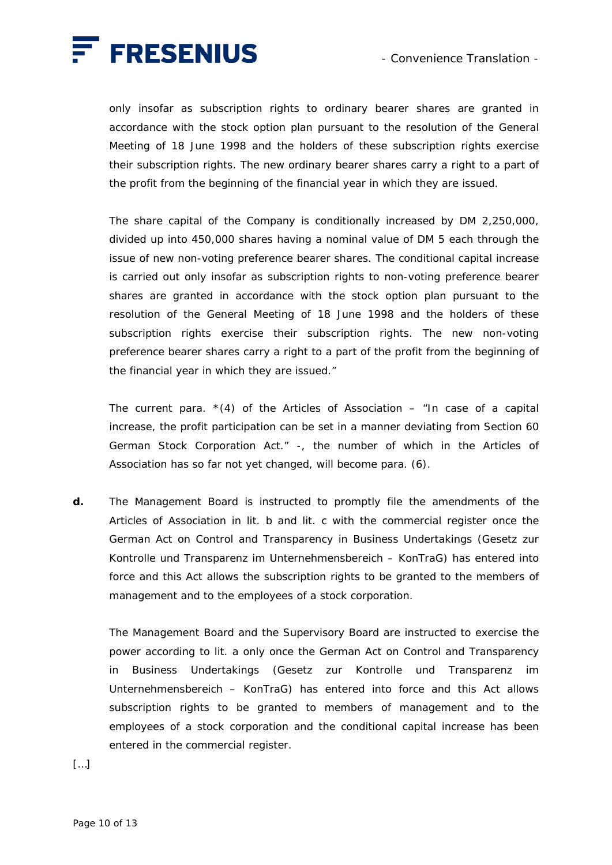

only insofar as subscription rights to ordinary bearer shares are granted in accordance with the stock option plan pursuant to the resolution of the General Meeting of 18 June 1998 and the holders of these subscription rights exercise their subscription rights. The new ordinary bearer shares carry a right to a part of the profit from the beginning of the financial year in which they are issued.

 The share capital of the Company is conditionally increased by DM 2,250,000, divided up into 450,000 shares having a nominal value of DM 5 each through the issue of new non-voting preference bearer shares. The conditional capital increase is carried out only insofar as subscription rights to non-voting preference bearer shares are granted in accordance with the stock option plan pursuant to the resolution of the General Meeting of 18 June 1998 and the holders of these subscription rights exercise their subscription rights. The new non-voting preference bearer shares carry a right to a part of the profit from the beginning of the financial year in which they are issued."

The current para.  $*(4)$  of the Articles of Association – "In case of a capital increase, the profit participation can be set in a manner deviating from Section 60 German Stock Corporation Act." -, the number of which in the Articles of Association has so far not yet changed, will become para. (6).

**d.** The Management Board is instructed to promptly file the amendments of the Articles of Association in lit. b and lit. c with the commercial register once the German Act on Control and Transparency in Business Undertakings (*Gesetz zur Kontrolle und Transparenz im Unternehmensbereich* – *KonTraG*) has entered into force and this Act allows the subscription rights to be granted to the members of management and to the employees of a stock corporation.

 The Management Board and the Supervisory Board are instructed to exercise the power according to lit. a only once the German Act on Control and Transparency in Business Undertakings (*Gesetz zur Kontrolle und Transparenz im Unternehmensbereich* – *KonTraG*) has entered into force and this Act allows subscription rights to be granted to members of management and to the employees of a stock corporation and the conditional capital increase has been entered in the commercial register.

[…]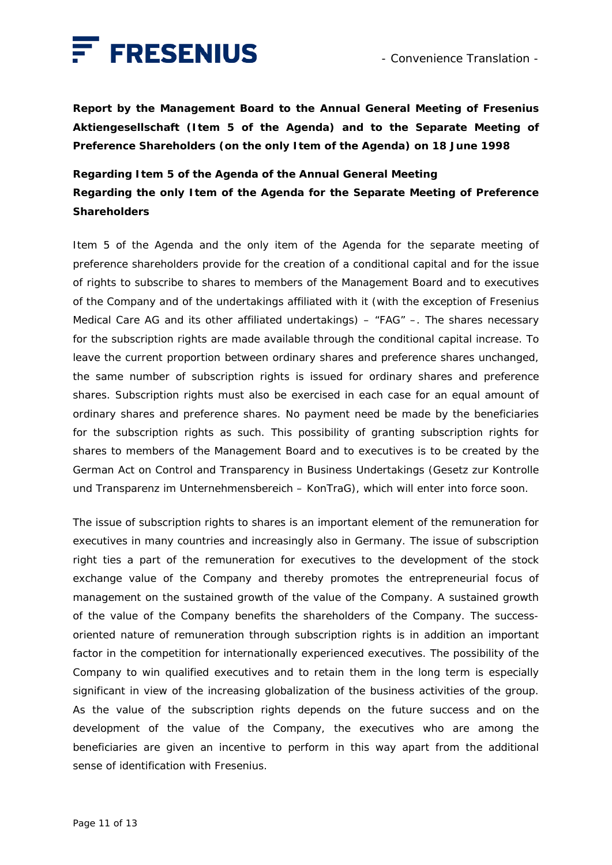

**Report by the Management Board to the Annual General Meeting of Fresenius Aktiengesellschaft (Item 5 of the Agenda) and to the Separate Meeting of Preference Shareholders (on the only Item of the Agenda) on 18 June 1998** 

**Regarding Item 5 of the Agenda of the Annual General Meeting Regarding the only Item of the Agenda for the Separate Meeting of Preference Shareholders** 

Item 5 of the Agenda and the only item of the Agenda for the separate meeting of preference shareholders provide for the creation of a conditional capital and for the issue of rights to subscribe to shares to members of the Management Board and to executives of the Company and of the undertakings affiliated with it (with the exception of Fresenius Medical Care AG and its other affiliated undertakings) – "FAG" –. The shares necessary for the subscription rights are made available through the conditional capital increase. To leave the current proportion between ordinary shares and preference shares unchanged, the same number of subscription rights is issued for ordinary shares and preference shares. Subscription rights must also be exercised in each case for an equal amount of ordinary shares and preference shares. No payment need be made by the beneficiaries for the subscription rights as such. This possibility of granting subscription rights for shares to members of the Management Board and to executives is to be created by the German Act on Control and Transparency in Business Undertakings (*Gesetz zur Kontrolle und Transparenz im Unternehmensbereich* – *KonTraG*), which will enter into force soon.

The issue of subscription rights to shares is an important element of the remuneration for executives in many countries and increasingly also in Germany. The issue of subscription right ties a part of the remuneration for executives to the development of the stock exchange value of the Company and thereby promotes the entrepreneurial focus of management on the sustained growth of the value of the Company. A sustained growth of the value of the Company benefits the shareholders of the Company. The successoriented nature of remuneration through subscription rights is in addition an important factor in the competition for internationally experienced executives. The possibility of the Company to win qualified executives and to retain them in the long term is especially significant in view of the increasing globalization of the business activities of the group. As the value of the subscription rights depends on the future success and on the development of the value of the Company, the executives who are among the beneficiaries are given an incentive to perform in this way apart from the additional sense of identification with Fresenius.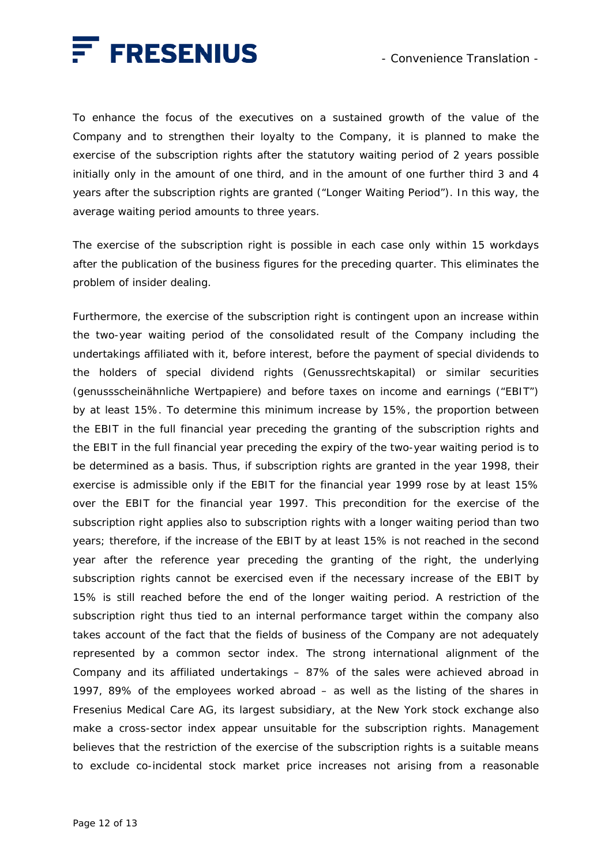

To enhance the focus of the executives on a sustained growth of the value of the Company and to strengthen their loyalty to the Company, it is planned to make the exercise of the subscription rights after the statutory waiting period of 2 years possible initially only in the amount of one third, and in the amount of one further third 3 and 4 years after the subscription rights are granted ("Longer Waiting Period"). In this way, the average waiting period amounts to three years.

The exercise of the subscription right is possible in each case only within 15 workdays after the publication of the business figures for the preceding quarter. This eliminates the problem of insider dealing.

Furthermore, the exercise of the subscription right is contingent upon an increase within the two-year waiting period of the consolidated result of the Company including the undertakings affiliated with it, before interest, before the payment of special dividends to the holders of special dividend rights (*Genussrechtskapital*) or similar securities (*genussscheinähnliche Wertpapiere*) and before taxes on income and earnings ("EBIT") by at least 15%. To determine this minimum increase by 15%, the proportion between the EBIT in the full financial year preceding the granting of the subscription rights and the EBIT in the full financial year preceding the expiry of the two-year waiting period is to be determined as a basis. Thus, if subscription rights are granted in the year 1998, their exercise is admissible only if the EBIT for the financial year 1999 rose by at least 15% over the EBIT for the financial year 1997. This precondition for the exercise of the subscription right applies also to subscription rights with a longer waiting period than two years; therefore, if the increase of the EBIT by at least 15% is not reached in the second year after the reference year preceding the granting of the right, the underlying subscription rights cannot be exercised even if the necessary increase of the EBIT by 15% is still reached before the end of the longer waiting period. A restriction of the subscription right thus tied to an internal performance target within the company also takes account of the fact that the fields of business of the Company are not adequately represented by a common sector index. The strong international alignment of the Company and its affiliated undertakings – 87% of the sales were achieved abroad in 1997, 89% of the employees worked abroad – as well as the listing of the shares in Fresenius Medical Care AG, its largest subsidiary, at the New York stock exchange also make a cross-sector index appear unsuitable for the subscription rights. Management believes that the restriction of the exercise of the subscription rights is a suitable means to exclude co-incidental stock market price increases not arising from a reasonable